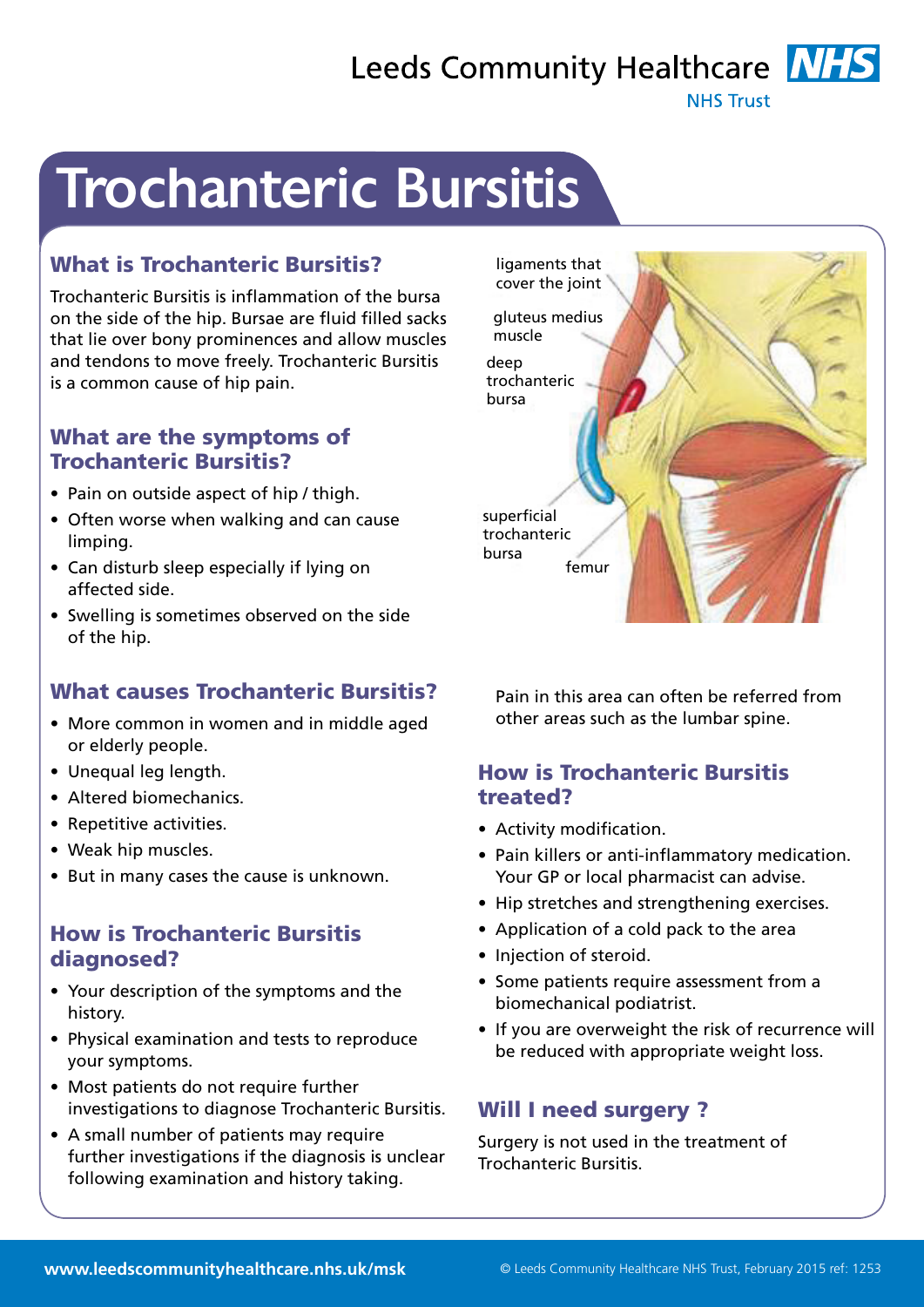# Leeds Community Healthcare **NHS**

**NHS Trust** 

# Trochanteric Bursitis

# What is Trochanteric Bursitis?

Trochanteric Bursitis is inflammation of the bursa on the side of the hip. Bursae are fluid filled sacks that lie over bony prominences and allow muscles and tendons to move freely. Trochanteric Bursitis is a common cause of hip pain.

#### What are the symptoms of Trochanteric Bursitis?

- Pain on outside aspect of hip / thigh.
- Often worse when walking and can cause limping.
- Can disturb sleep especially if lying on affected side.
- Swelling is sometimes observed on the side of the hip.

# What causes Trochanteric Bursitis?

- More common in women and in middle aged or elderly people.
- Unequal leg length.
- Altered biomechanics.
- Repetitive activities.
- Weak hip muscles.
- But in many cases the cause is unknown.

### How is Trochanteric Bursitis diagnosed?

- Your description of the symptoms and the history.
- Physical examination and tests to reproduce your symptoms.
- Most patients do not require further investigations to diagnose Trochanteric Bursitis.
- A small number of patients may require further investigations if the diagnosis is unclear following examination and history taking.



Pain in this area can often be referred from other areas such as the lumbar spine.

### How is Trochanteric Bursitis treated?

- Activity modification.
- Pain killers or anti-inflammatory medication. Your GP or local pharmacist can advise.
- Hip stretches and strengthening exercises.
- Application of a cold pack to the area
- Injection of steroid.
- Some patients require assessment from a biomechanical podiatrist.
- If you are overweight the risk of recurrence will be reduced with appropriate weight loss.

# Will I need surgery ?

Surgery is not used in the treatment of Trochanteric Bursitis.